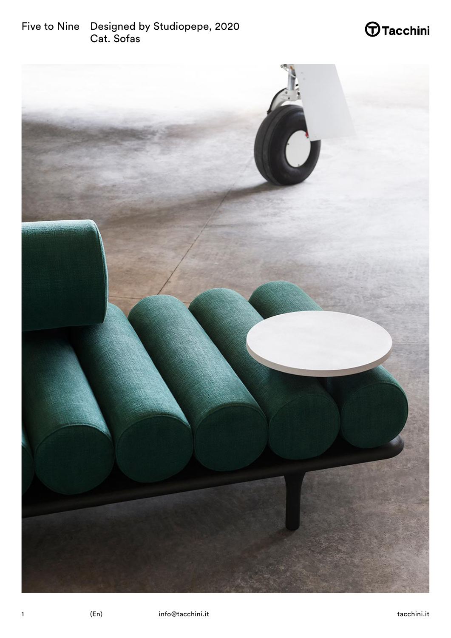# $\bigoplus$ Tacchini

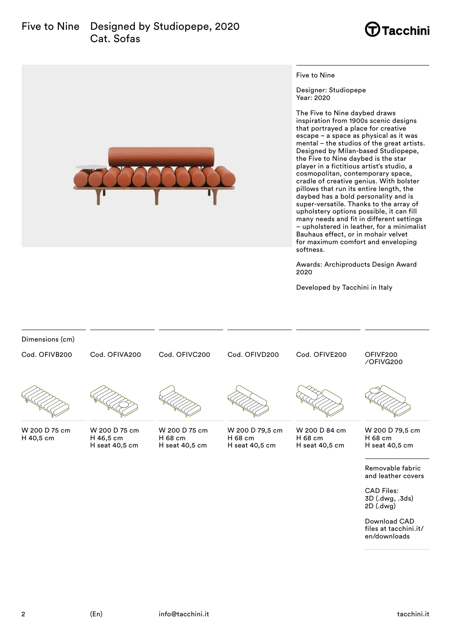### Five to Nine Designed by Studiopepe, 2020 Cat. Sofas



**Tacchini** 

Five to Nine

Designer: Studiopepe Year: 2020

The Five to Nine daybed draws inspiration from 1900s scenic designs that portrayed a place for creative escape – a space as physical as it was mental – the studios of the great artists. Designed by Milan-based Studiopepe, the Five to Nine daybed is the star player in a fictitious artist's studio, a cosmopolitan, contemporary space, cradle of creative genius. With bolster pillows that run its entire length, the daybed has a bold personality and is super-versatile. Thanks to the array of upholstery options possible, it can fill many needs and fit in different settings – upholstered in leather, for a minimalist Bauhaus effect, or in mohair velvet for maximum comfort and enveloping softness.

Awards: Archiproducts Design Award 2020

Developed by Tacchini in Italy



3D (.dwg, .3ds) 2D (.dwg)

Download CAD files at tacchini.it/ en/downloads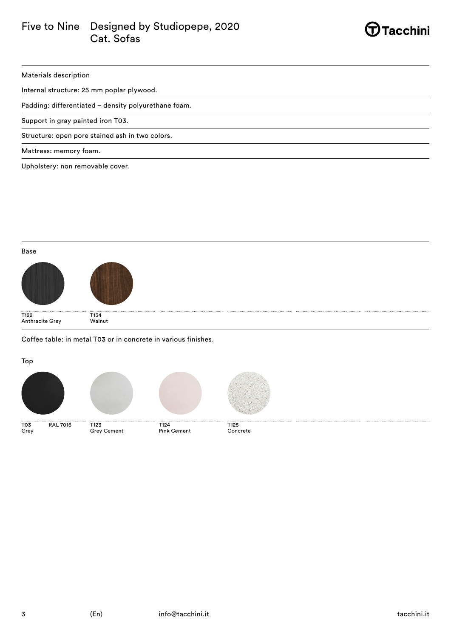### Five to Nine Designed by Studiopepe, 2020 Cat. Sofas



Materials description

Internal structure: 25 mm poplar plywood.

Padding: differentiated – density polyurethane foam.

Support in gray painted iron T03.

Structure: open pore stained ash in two colors.

Mattress: memory foam.

Upholstery: non removable cover.

#### Base





T122 Anthracite Grey T134 Walnut

Coffee table: in metal T03 or in concrete in various finishes.

Top

Grey



T03 RAL 7016



Grey Cement





T124 Pink Cement T125 Concrete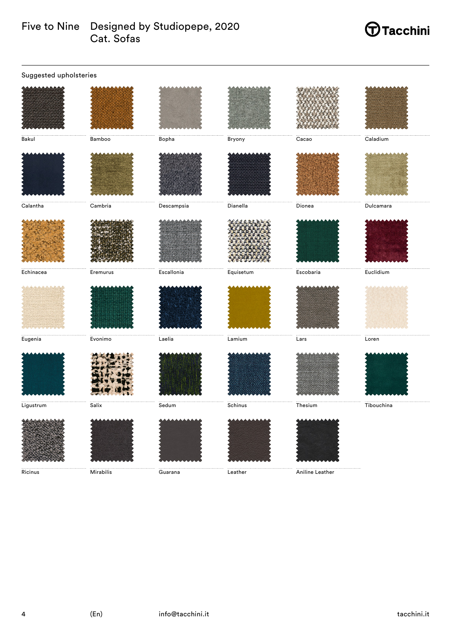### Five to Nine Designed by Studiopepe, 2020 Cat. Sofas

# $\bigoplus$ Tacchini

| Suggested upholsteries |                 |                     |             |                       |            |  |
|------------------------|-----------------|---------------------|-------------|-----------------------|------------|--|
|                        |                 |                     |             |                       |            |  |
| Bakul                  | Bamboo          | Bopha               | Bryony      | Cacao                 | Caladium   |  |
|                        |                 |                     |             |                       |            |  |
| Calantha               | ${\sf Cambria}$ | Descampsia          | Dianella    | Dionea                | Dulcamara  |  |
|                        |                 |                     |             |                       |            |  |
| Echinacea              | Eremurus        | Escallonia          | Equisetum   | E <sub>scobaria</sub> | Euclidium  |  |
|                        |                 |                     |             |                       |            |  |
| Eugenia                | Evonimo         | Laelia              | $\sf Lamin$ | Lars                  | Loren      |  |
|                        |                 |                     |             |                       |            |  |
| Ligustrum              | Salix           | Sedum               | Schinus     | Thesium               | Tibouchina |  |
| Ricinus                | Mirabilis       | $\cdots$<br>Guarana | Leather     | <br>Aniline Leather   |            |  |
|                        |                 |                     |             |                       |            |  |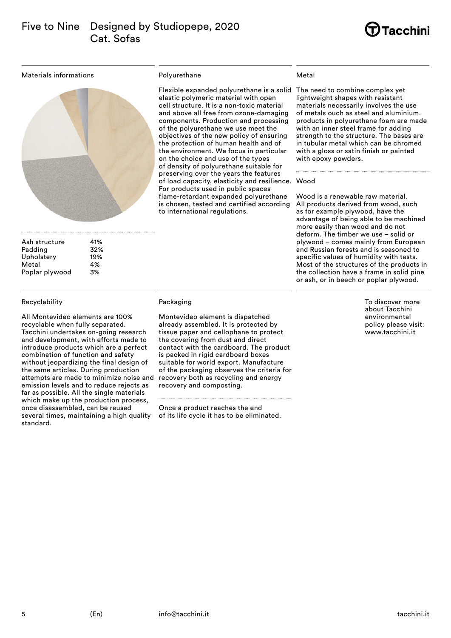## **Tacchini**

Materials informations



| Ash structure  | 41% |
|----------------|-----|
| Padding        | 32% |
| Upholstery     | 19% |
| Metal          | 4%  |
| Poplar plywood | 3%  |

#### Recyclability

All Montevideo elements are 100% recyclable when fully separated. Tacchini undertakes on-going research and development, with efforts made to introduce products which are a perfect combination of function and safety without jeopardizing the final design of the same articles. During production attempts are made to minimize noise and emission levels and to reduce rejects as far as possible. All the single materials which make up the production process, once disassembled, can be reused several times, maintaining a high quality standard.

#### Polyurethane

Flexible expanded polyurethane is a solid The need to combine complex yet elastic polymeric material with open cell structure. It is a non-toxic material and above all free from ozone-damaging components. Production and processing of the polyurethane we use meet the objectives of the new policy of ensuring the protection of human health and of the environment. We focus in particular on the choice and use of the types of density of polyurethane suitable for preserving over the years the features of load capacity, elasticity and resilience. Wood For products used in public spaces flame-retardant expanded polyurethane is chosen, tested and certified according to international regulations.

#### Metal

lightweight shapes with resistant materials necessarily involves the use of metals ouch as steel and aluminium. products in polyurethane foam are made with an inner steel frame for adding strength to the structure. The bases are in tubular metal which can be chromed with a gloss or satin finish or painted with epoxy powders.

Wood is a renewable raw material. All products derived from wood, such as for example plywood, have the advantage of being able to be machined more easily than wood and do not deform. The timber we use – solid or plywood – comes mainly from European and Russian forests and is seasoned to specific values of humidity with tests. Most of the structures of the products in the collection have a frame in solid pine or ash, or in beech or poplar plywood.

> To discover more about Tacchini environmental policy please visit: www.tacchini.it

### Packaging

Montevideo element is dispatched already assembled. It is protected by tissue paper and cellophane to protect the covering from dust and direct contact with the cardboard. The product is packed in rigid cardboard boxes suitable for world export. Manufacture of the packaging observes the criteria for recovery both as recycling and energy recovery and composting.

Once a product reaches the end of its life cycle it has to be eliminated.